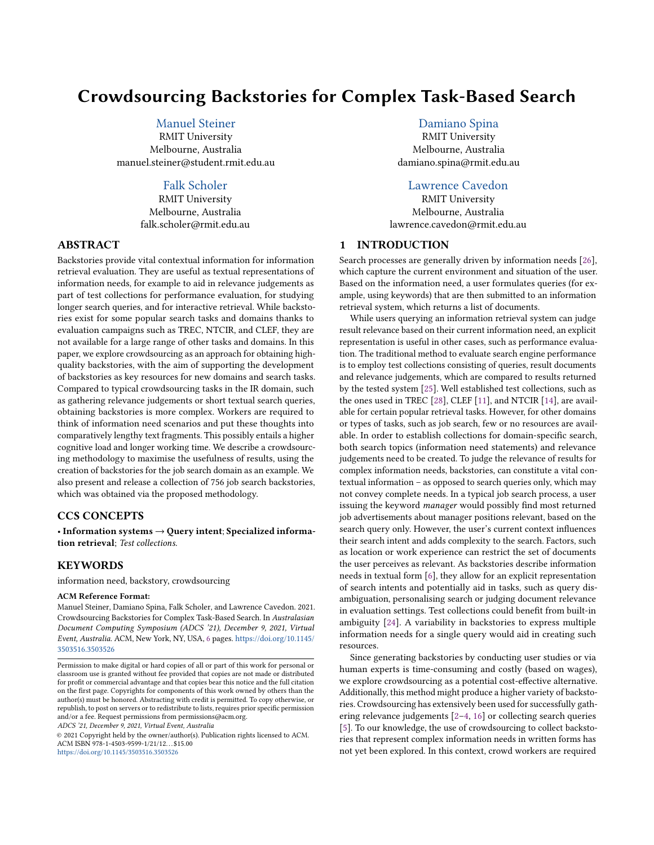# Crowdsourcing Backstories for Complex Task-Based Search

# [Manuel Steiner](https://orcid.org/0000-0002-6870-5918)

RMIT University Melbourne, Australia manuel.steiner@student.rmit.edu.au

### [Falk Scholer](https://orcid.org/0000-0001-9094-0810)

RMIT University Melbourne, Australia falk.scholer@rmit.edu.au

# ABSTRACT

Backstories provide vital contextual information for information retrieval evaluation. They are useful as textual representations of information needs, for example to aid in relevance judgements as part of test collections for performance evaluation, for studying longer search queries, and for interactive retrieval. While backstories exist for some popular search tasks and domains thanks to evaluation campaigns such as TREC, NTCIR, and CLEF, they are not available for a large range of other tasks and domains. In this paper, we explore crowdsourcing as an approach for obtaining highquality backstories, with the aim of supporting the development of backstories as key resources for new domains and search tasks. Compared to typical crowdsourcing tasks in the IR domain, such as gathering relevance judgements or short textual search queries, obtaining backstories is more complex. Workers are required to think of information need scenarios and put these thoughts into comparatively lengthy text fragments. This possibly entails a higher cognitive load and longer working time. We describe a crowdsourcing methodology to maximise the usefulness of results, using the creation of backstories for the job search domain as an example. We also present and release a collection of 756 job search backstories, which was obtained via the proposed methodology.

# CCS CONCEPTS

• Information systems  $\rightarrow$  Query intent; Specialized information retrieval; Test collections.

### **KEYWORDS**

information need, backstory, crowdsourcing

#### ACM Reference Format:

Manuel Steiner, Damiano Spina, Falk Scholer, and Lawrence Cavedon. 2021. Crowdsourcing Backstories for Complex Task-Based Search. In Australasian Document Computing Symposium (ADCS '21), December 9, 2021, Virtual Event, Australia. ACM, New York, NY, USA, [6](#page-5-0) pages. [https://doi.org/10.1145/](https://doi.org/10.1145/3503516.3503526) [3503516.3503526](https://doi.org/10.1145/3503516.3503526)

ADCS '21, December 9, 2021, Virtual Event, Australia

© 2021 Copyright held by the owner/author(s). Publication rights licensed to ACM. ACM ISBN 978-1-4503-9599-1/21/12. . . \$15.00 <https://doi.org/10.1145/3503516.3503526>

## [Damiano Spina](https://orcid.org/0000-0001-9913-433X)

RMIT University Melbourne, Australia damiano.spina@rmit.edu.au

### [Lawrence Cavedon](https://orcid.org/0000-0001-7464-857X)

RMIT University Melbourne, Australia lawrence.cavedon@rmit.edu.au

### 1 INTRODUCTION

Search processes are generally driven by information needs [\[26\]](#page-5-1), which capture the current environment and situation of the user. Based on the information need, a user formulates queries (for example, using keywords) that are then submitted to an information retrieval system, which returns a list of documents.

While users querying an information retrieval system can judge result relevance based on their current information need, an explicit representation is useful in other cases, such as performance evaluation. The traditional method to evaluate search engine performance is to employ test collections consisting of queries, result documents and relevance judgements, which are compared to results returned by the tested system [\[25\]](#page-5-2). Well established test collections, such as the ones used in TREC [\[28\]](#page-5-3), CLEF [\[11\]](#page-5-4), and NTCIR [\[14\]](#page-5-5), are available for certain popular retrieval tasks. However, for other domains or types of tasks, such as job search, few or no resources are available. In order to establish collections for domain-specific search, both search topics (information need statements) and relevance judgements need to be created. To judge the relevance of results for complex information needs, backstories, can constitute a vital contextual information – as opposed to search queries only, which may not convey complete needs. In a typical job search process, a user issuing the keyword manager would possibly find most returned job advertisements about manager positions relevant, based on the search query only. However, the user's current context influences their search intent and adds complexity to the search. Factors, such as location or work experience can restrict the set of documents the user perceives as relevant. As backstories describe information needs in textual form [\[6\]](#page-5-6), they allow for an explicit representation of search intents and potentially aid in tasks, such as query disambiguation, personalising search or judging document relevance in evaluation settings. Test collections could benefit from built-in ambiguity [\[24\]](#page-5-7). A variability in backstories to express multiple information needs for a single query would aid in creating such resources.

Since generating backstories by conducting user studies or via human experts is time-consuming and costly (based on wages), we explore crowdsourcing as a potential cost-effective alternative. Additionally, this method might produce a higher variety of backstories. Crowdsourcing has extensively been used for successfully gathering relevance judgements [\[2–](#page-5-8)[4,](#page-5-9) [16\]](#page-5-10) or collecting search queries [\[5\]](#page-5-11). To our knowledge, the use of crowdsourcing to collect backstories that represent complex information needs in written forms has not yet been explored. In this context, crowd workers are required

Permission to make digital or hard copies of all or part of this work for personal or classroom use is granted without fee provided that copies are not made or distributed for profit or commercial advantage and that copies bear this notice and the full citation on the first page. Copyrights for components of this work owned by others than the author(s) must be honored. Abstracting with credit is permitted. To copy otherwise, or republish, to post on servers or to redistribute to lists, requires prior specific permission and/or a fee. Request permissions from permissions@acm.org.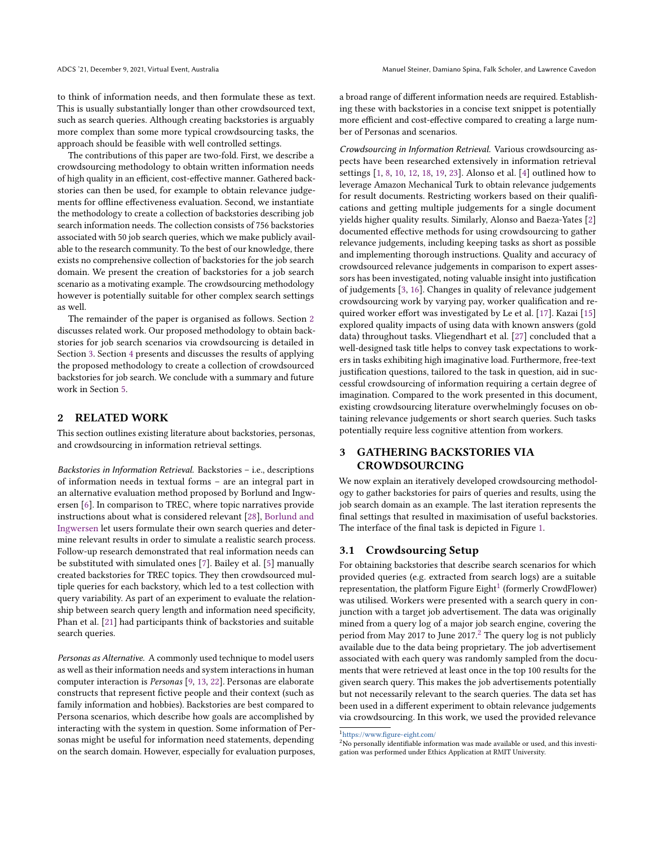to think of information needs, and then formulate these as text. This is usually substantially longer than other crowdsourced text, such as search queries. Although creating backstories is arguably more complex than some more typical crowdsourcing tasks, the approach should be feasible with well controlled settings.

The contributions of this paper are two-fold. First, we describe a crowdsourcing methodology to obtain written information needs of high quality in an efficient, cost-effective manner. Gathered backstories can then be used, for example to obtain relevance judgements for offline effectiveness evaluation. Second, we instantiate the methodology to create a collection of backstories describing job search information needs. The collection consists of 756 backstories associated with 50 job search queries, which we make publicly available to the research community. To the best of our knowledge, there exists no comprehensive collection of backstories for the job search domain. We present the creation of backstories for a job search scenario as a motivating example. The crowdsourcing methodology however is potentially suitable for other complex search settings as well.

The remainder of the paper is organised as follows. Section [2](#page-1-0) discusses related work. Our proposed methodology to obtain backstories for job search scenarios via crowdsourcing is detailed in Section [3.](#page-1-1) Section [4](#page-3-0) presents and discusses the results of applying the proposed methodology to create a collection of crowdsourced backstories for job search. We conclude with a summary and future work in Section [5.](#page-5-12)

# <span id="page-1-0"></span>2 RELATED WORK

This section outlines existing literature about backstories, personas, and crowdsourcing in information retrieval settings.

Backstories in Information Retrieval. Backstories – i.e., descriptions of information needs in textual forms – are an integral part in an alternative evaluation method proposed by Borlund and Ingwersen [\[6\]](#page-5-6). In comparison to TREC, where topic narratives provide instructions about what is considered relevant [\[28\]](#page-5-3), [Borlund and](#page-5-6) [Ingwersen](#page-5-6) let users formulate their own search queries and determine relevant results in order to simulate a realistic search process. Follow-up research demonstrated that real information needs can be substituted with simulated ones [\[7\]](#page-5-13). Bailey et al. [\[5\]](#page-5-11) manually created backstories for TREC topics. They then crowdsourced multiple queries for each backstory, which led to a test collection with query variability. As part of an experiment to evaluate the relationship between search query length and information need specificity, Phan et al. [\[21\]](#page-5-14) had participants think of backstories and suitable search queries.

Personas as Alternative. A commonly used technique to model users as well as their information needs and system interactions in human computer interaction is Personas [\[9,](#page-5-15) [13,](#page-5-16) [22\]](#page-5-17). Personas are elaborate constructs that represent fictive people and their context (such as family information and hobbies). Backstories are best compared to Persona scenarios, which describe how goals are accomplished by interacting with the system in question. Some information of Personas might be useful for information need statements, depending on the search domain. However, especially for evaluation purposes,

a broad range of different information needs are required. Establishing these with backstories in a concise text snippet is potentially more efficient and cost-effective compared to creating a large number of Personas and scenarios.

Crowdsourcing in Information Retrieval. Various crowdsourcing aspects have been researched extensively in information retrieval settings [\[1,](#page-5-18) [8,](#page-5-19) [10,](#page-5-20) [12,](#page-5-21) [18,](#page-5-22) [19,](#page-5-23) [23\]](#page-5-24). Alonso et al. [\[4\]](#page-5-9) outlined how to leverage Amazon Mechanical Turk to obtain relevance judgements for result documents. Restricting workers based on their qualifications and getting multiple judgements for a single document yields higher quality results. Similarly, Alonso and Baeza-Yates [\[2\]](#page-5-8) documented effective methods for using crowdsourcing to gather relevance judgements, including keeping tasks as short as possible and implementing thorough instructions. Quality and accuracy of crowdsourced relevance judgements in comparison to expert assessors has been investigated, noting valuable insight into justification of judgements [\[3,](#page-5-25) [16\]](#page-5-10). Changes in quality of relevance judgement crowdsourcing work by varying pay, worker qualification and required worker effort was investigated by Le et al. [\[17\]](#page-5-26). Kazai [\[15\]](#page-5-27) explored quality impacts of using data with known answers (gold data) throughout tasks. Vliegendhart et al. [\[27\]](#page-5-28) concluded that a well-designed task title helps to convey task expectations to workers in tasks exhibiting high imaginative load. Furthermore, free-text justification questions, tailored to the task in question, aid in successful crowdsourcing of information requiring a certain degree of imagination. Compared to the work presented in this document, existing crowdsourcing literature overwhelmingly focuses on obtaining relevance judgements or short search queries. Such tasks potentially require less cognitive attention from workers.

# <span id="page-1-1"></span>3 GATHERING BACKSTORIES VIA **CROWDSOURCING**

We now explain an iteratively developed crowdsourcing methodology to gather backstories for pairs of queries and results, using the job search domain as an example. The last iteration represents the final settings that resulted in maximisation of useful backstories. The interface of the final task is depicted in Figure [1.](#page-3-1)

### 3.1 Crowdsourcing Setup

For obtaining backstories that describe search scenarios for which provided queries (e.g. extracted from search logs) are a suitable representation, the platform Figure Eight $^1$  $^1$  (formerly CrowdFlower) was utilised. Workers were presented with a search query in conjunction with a target job advertisement. The data was originally mined from a query log of a major job search engine, covering the period from May [2](#page-1-3)017 to June 2017.<sup>2</sup> The query log is not publicly available due to the data being proprietary. The job advertisement associated with each query was randomly sampled from the documents that were retrieved at least once in the top 100 results for the given search query. This makes the job advertisements potentially but not necessarily relevant to the search queries. The data set has been used in a different experiment to obtain relevance judgements via crowdsourcing. In this work, we used the provided relevance

<span id="page-1-3"></span><sup>2</sup>No personally identifiable information was made available or used, and this investigation was performed under Ethics Application at RMIT University.

<span id="page-1-2"></span><sup>1</sup><https://www.figure-eight.com/>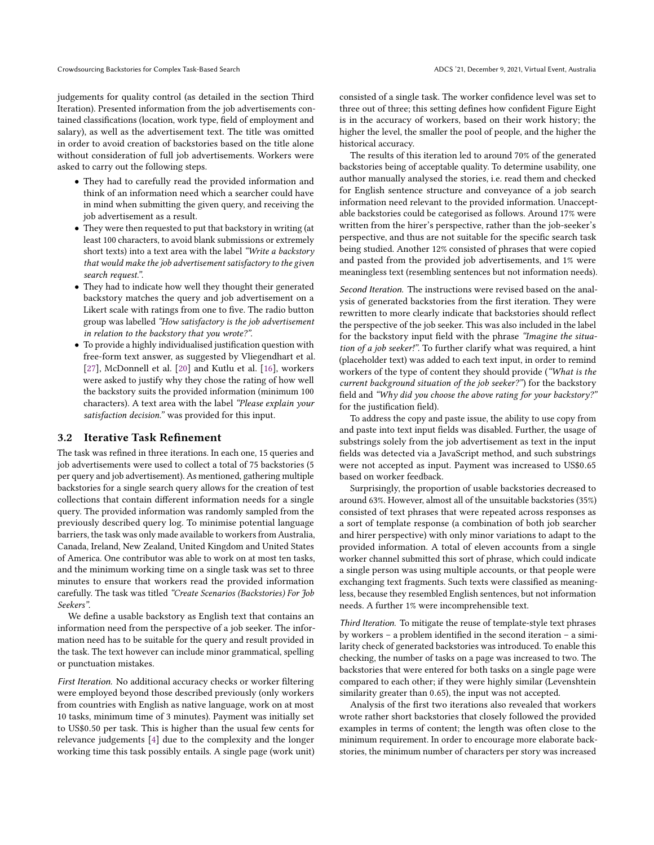judgements for quality control (as detailed in the section Third Iteration). Presented information from the job advertisements contained classifications (location, work type, field of employment and salary), as well as the advertisement text. The title was omitted in order to avoid creation of backstories based on the title alone without consideration of full job advertisements. Workers were asked to carry out the following steps.

- They had to carefully read the provided information and think of an information need which a searcher could have in mind when submitting the given query, and receiving the job advertisement as a result.
- They were then requested to put that backstory in writing (at least 100 characters, to avoid blank submissions or extremely short texts) into a text area with the label "Write a backstory that would make the job advertisement satisfactory to the given search request.".
- They had to indicate how well they thought their generated backstory matches the query and job advertisement on a Likert scale with ratings from one to five. The radio button group was labelled "How satisfactory is the job advertisement in relation to the backstory that you wrote?".
- To provide a highly individualised justification question with free-form text answer, as suggested by Vliegendhart et al. [\[27\]](#page-5-28), McDonnell et al. [\[20\]](#page-5-29) and Kutlu et al. [\[16\]](#page-5-10), workers were asked to justify why they chose the rating of how well the backstory suits the provided information (minimum 100 characters). A text area with the label "Please explain your satisfaction decision." was provided for this input.

### 3.2 Iterative Task Refinement

The task was refined in three iterations. In each one, 15 queries and job advertisements were used to collect a total of 75 backstories (5 per query and job advertisement). As mentioned, gathering multiple backstories for a single search query allows for the creation of test collections that contain different information needs for a single query. The provided information was randomly sampled from the previously described query log. To minimise potential language barriers, the task was only made available to workers from Australia, Canada, Ireland, New Zealand, United Kingdom and United States of America. One contributor was able to work on at most ten tasks, and the minimum working time on a single task was set to three minutes to ensure that workers read the provided information carefully. The task was titled "Create Scenarios (Backstories) For Job Seekers".

We define a usable backstory as English text that contains an information need from the perspective of a job seeker. The information need has to be suitable for the query and result provided in the task. The text however can include minor grammatical, spelling or punctuation mistakes.

First Iteration. No additional accuracy checks or worker filtering were employed beyond those described previously (only workers from countries with English as native language, work on at most 10 tasks, minimum time of 3 minutes). Payment was initially set to US\$0.<sup>50</sup> per task. This is higher than the usual few cents for relevance judgements [\[4\]](#page-5-9) due to the complexity and the longer working time this task possibly entails. A single page (work unit) consisted of a single task. The worker confidence level was set to three out of three; this setting defines how confident Figure Eight is in the accuracy of workers, based on their work history; the higher the level, the smaller the pool of people, and the higher the historical accuracy.

The results of this iteration led to around 70% of the generated backstories being of acceptable quality. To determine usability, one author manually analysed the stories, i.e. read them and checked for English sentence structure and conveyance of a job search information need relevant to the provided information. Unacceptable backstories could be categorised as follows. Around 17% were written from the hirer's perspective, rather than the job-seeker's perspective, and thus are not suitable for the specific search task being studied. Another 12% consisted of phrases that were copied and pasted from the provided job advertisements, and 1% were meaningless text (resembling sentences but not information needs).

Second Iteration. The instructions were revised based on the analysis of generated backstories from the first iteration. They were rewritten to more clearly indicate that backstories should reflect the perspective of the job seeker. This was also included in the label for the backstory input field with the phrase "Imagine the situation of a job seeker!". To further clarify what was required, a hint (placeholder text) was added to each text input, in order to remind workers of the type of content they should provide ("What is the current background situation of the job seeker?") for the backstory field and "Why did you choose the above rating for your backstory?" for the justification field).

To address the copy and paste issue, the ability to use copy from and paste into text input fields was disabled. Further, the usage of substrings solely from the job advertisement as text in the input fields was detected via a JavaScript method, and such substrings were not accepted as input. Payment was increased to US\$0.<sup>65</sup> based on worker feedback.

Surprisingly, the proportion of usable backstories decreased to around 63%. However, almost all of the unsuitable backstories (35%) consisted of text phrases that were repeated across responses as a sort of template response (a combination of both job searcher and hirer perspective) with only minor variations to adapt to the provided information. A total of eleven accounts from a single worker channel submitted this sort of phrase, which could indicate a single person was using multiple accounts, or that people were exchanging text fragments. Such texts were classified as meaningless, because they resembled English sentences, but not information needs. A further 1% were incomprehensible text.

Third Iteration. To mitigate the reuse of template-style text phrases by workers – a problem identified in the second iteration – a similarity check of generated backstories was introduced. To enable this checking, the number of tasks on a page was increased to two. The backstories that were entered for both tasks on a single page were compared to each other; if they were highly similar (Levenshtein similarity greater than <sup>0</sup>.65), the input was not accepted.

Analysis of the first two iterations also revealed that workers wrote rather short backstories that closely followed the provided examples in terms of content; the length was often close to the minimum requirement. In order to encourage more elaborate backstories, the minimum number of characters per story was increased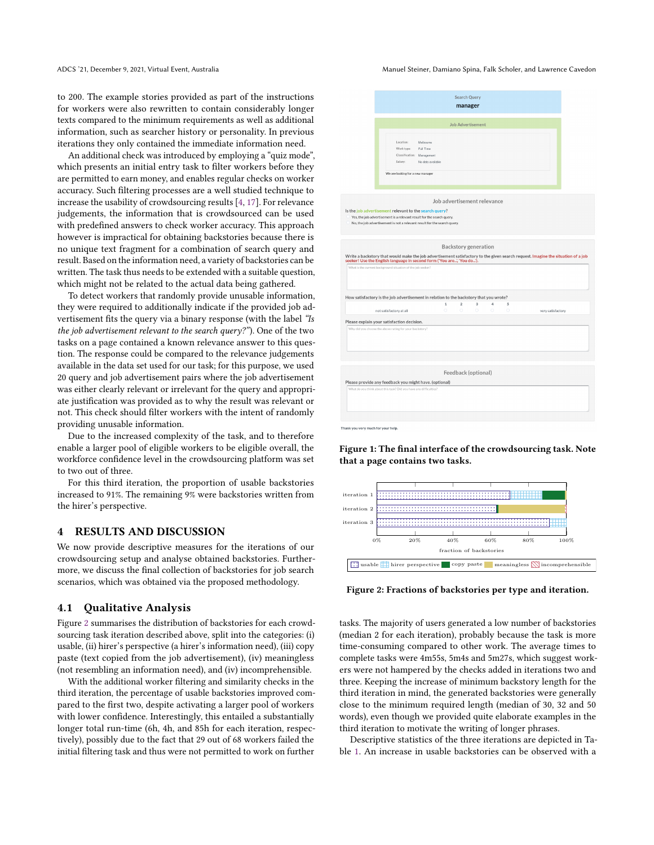ADCS '21, December 9, 2021, Virtual Event, Australia Manuel Steiner, Damiano Spina, Falk Scholer, and Lawrence Cavedon

to 200. The example stories provided as part of the instructions for workers were also rewritten to contain considerably longer texts compared to the minimum requirements as well as additional information, such as searcher history or personality. In previous iterations they only contained the immediate information need.

An additional check was introduced by employing a "quiz mode", which presents an initial entry task to filter workers before they are permitted to earn money, and enables regular checks on worker accuracy. Such filtering processes are a well studied technique to increase the usability of crowdsourcing results [\[4,](#page-5-9) [17\]](#page-5-26). For relevance judgements, the information that is crowdsourced can be used with predefined answers to check worker accuracy. This approach however is impractical for obtaining backstories because there is no unique text fragment for a combination of search query and result. Based on the information need, a variety of backstories can be written. The task thus needs to be extended with a suitable question, which might not be related to the actual data being gathered.

To detect workers that randomly provide unusable information, they were required to additionally indicate if the provided job advertisement fits the query via a binary response (with the label "Is the job advertisement relevant to the search query?"). One of the two tasks on a page contained a known relevance answer to this question. The response could be compared to the relevance judgements available in the data set used for our task; for this purpose, we used 20 query and job advertisement pairs where the job advertisement was either clearly relevant or irrelevant for the query and appropriate justification was provided as to why the result was relevant or not. This check should filter workers with the intent of randomly providing unusable information.

Due to the increased complexity of the task, and to therefore enable a larger pool of eligible workers to be eligible overall, the workforce confidence level in the crowdsourcing platform was set to two out of three.

For this third iteration, the proportion of usable backstories increased to 91%. The remaining 9% were backstories written from the hirer's perspective.

### <span id="page-3-0"></span>4 RESULTS AND DISCUSSION

We now provide descriptive measures for the iterations of our crowdsourcing setup and analyse obtained backstories. Furthermore, we discuss the final collection of backstories for job search scenarios, which was obtained via the proposed methodology.

#### 4.1 Qualitative Analysis

Figure [2](#page-3-2) summarises the distribution of backstories for each crowdsourcing task iteration described above, split into the categories: (i) usable, (ii) hirer's perspective (a hirer's information need), (iii) copy paste (text copied from the job advertisement), (iv) meaningless (not resembling an information need), and (iv) incomprehensible.

With the additional worker filtering and similarity checks in the third iteration, the percentage of usable backstories improved compared to the first two, despite activating a larger pool of workers with lower confidence. Interestingly, this entailed a substantially longer total run-time (6h, 4h, and 85h for each iteration, respectively), possibly due to the fact that 29 out of 68 workers failed the initial filtering task and thus were not permitted to work on further

<span id="page-3-1"></span>

Figure 1: The final interface of the crowdsourcing task. Note that a page contains two tasks.

<span id="page-3-2"></span>

Figure 2: Fractions of backstories per type and iteration.

tasks. The majority of users generated a low number of backstories (median 2 for each iteration), probably because the task is more time-consuming compared to other work. The average times to complete tasks were 4m55s, 5m4s and 5m27s, which suggest workers were not hampered by the checks added in iterations two and three. Keeping the increase of minimum backstory length for the third iteration in mind, the generated backstories were generally close to the minimum required length (median of 30, 32 and 50 words), even though we provided quite elaborate examples in the third iteration to motivate the writing of longer phrases.

Descriptive statistics of the three iterations are depicted in Table [1.](#page-4-0) An increase in usable backstories can be observed with a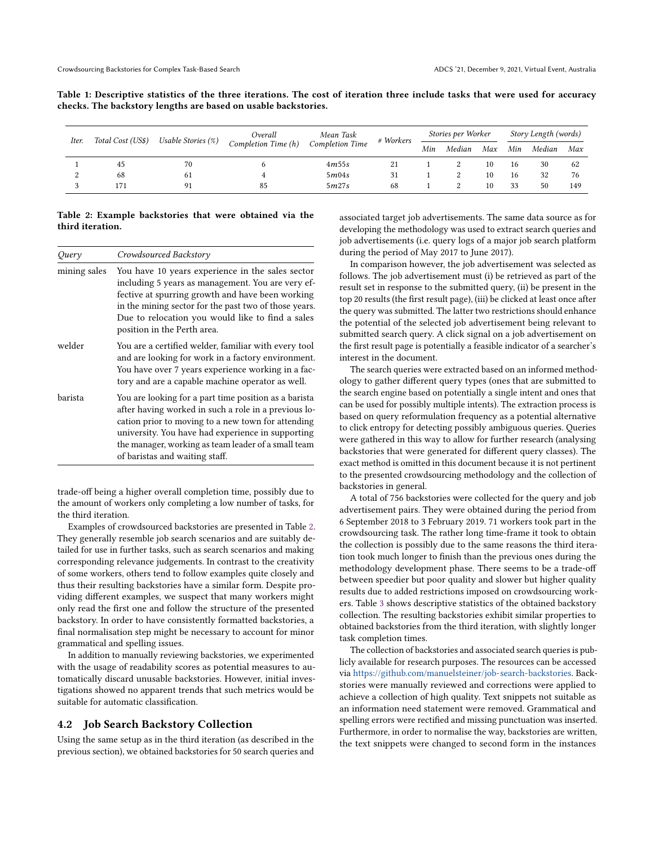<span id="page-4-0"></span>

| Table 1: Descriptive statistics of the three iterations. The cost of iteration three include tasks that were used for accuracy |  |  |  |  |  |  |  |  |
|--------------------------------------------------------------------------------------------------------------------------------|--|--|--|--|--|--|--|--|
| checks. The backstory lengths are based on usable backstories.                                                                 |  |  |  |  |  |  |  |  |

| Iter. | Total Cost (US\$) | Usable Stories $(\%)$ | Overall<br>Completion Time (h) | Mean Task<br><b>Completion Time</b> | # Workers | Stories per Worker |        |     | Story Length (words) |        |     |
|-------|-------------------|-----------------------|--------------------------------|-------------------------------------|-----------|--------------------|--------|-----|----------------------|--------|-----|
|       |                   |                       |                                |                                     |           | Min                | Median | Max | Min                  | Median | Max |
|       | 45                | 70                    |                                | 4m55s                               |           |                    |        | 10  | 16                   | 30     | 62  |
|       | 68                | 61                    |                                | 5m04s                               | 31        |                    |        | 10  | 16                   | 32     | 76  |
|       | 171               |                       | 85                             | 5m27s                               | 68        |                    |        | 10  | 33                   | 50     | 149 |

#### <span id="page-4-1"></span>Table 2: Example backstories that were obtained via the third iteration.

| Query        | Crowdsourced Backstory                                                                                                                                                                                                                                                                                            |
|--------------|-------------------------------------------------------------------------------------------------------------------------------------------------------------------------------------------------------------------------------------------------------------------------------------------------------------------|
| mining sales | You have 10 years experience in the sales sector<br>including 5 years as management. You are very ef-<br>fective at spurring growth and have been working<br>in the mining sector for the past two of those years.<br>Due to relocation you would like to find a sales<br>position in the Perth area.             |
| welder       | You are a certified welder, familiar with every tool<br>and are looking for work in a factory environment.<br>You have over 7 years experience working in a fac-<br>tory and are a capable machine operator as well.                                                                                              |
| barista      | You are looking for a part time position as a barista<br>after having worked in such a role in a previous lo-<br>cation prior to moving to a new town for attending<br>university. You have had experience in supporting<br>the manager, working as team leader of a small team<br>of baristas and waiting staff. |

trade-off being a higher overall completion time, possibly due to the amount of workers only completing a low number of tasks, for the third iteration.

Examples of crowdsourced backstories are presented in Table [2.](#page-4-1) They generally resemble job search scenarios and are suitably detailed for use in further tasks, such as search scenarios and making corresponding relevance judgements. In contrast to the creativity of some workers, others tend to follow examples quite closely and thus their resulting backstories have a similar form. Despite providing different examples, we suspect that many workers might only read the first one and follow the structure of the presented backstory. In order to have consistently formatted backstories, a final normalisation step might be necessary to account for minor grammatical and spelling issues.

In addition to manually reviewing backstories, we experimented with the usage of readability scores as potential measures to automatically discard unusable backstories. However, initial investigations showed no apparent trends that such metrics would be suitable for automatic classification.

#### 4.2 Job Search Backstory Collection

Using the same setup as in the third iteration (as described in the previous section), we obtained backstories for 50 search queries and

associated target job advertisements. The same data source as for developing the methodology was used to extract search queries and job advertisements (i.e. query logs of a major job search platform during the period of May 2017 to June 2017).

In comparison however, the job advertisement was selected as follows. The job advertisement must (i) be retrieved as part of the result set in response to the submitted query, (ii) be present in the top 20 results (the first result page), (iii) be clicked at least once after the query was submitted. The latter two restrictions should enhance the potential of the selected job advertisement being relevant to submitted search query. A click signal on a job advertisement on the first result page is potentially a feasible indicator of a searcher's interest in the document.

The search queries were extracted based on an informed methodology to gather different query types (ones that are submitted to the search engine based on potentially a single intent and ones that can be used for possibly multiple intents). The extraction process is based on query reformulation frequency as a potential alternative to click entropy for detecting possibly ambiguous queries. Queries were gathered in this way to allow for further research (analysing backstories that were generated for different query classes). The exact method is omitted in this document because it is not pertinent to the presented crowdsourcing methodology and the collection of backstories in general.

A total of 756 backstories were collected for the query and job advertisement pairs. They were obtained during the period from 6 September 2018 to 3 February 2019. 71 workers took part in the crowdsourcing task. The rather long time-frame it took to obtain the collection is possibly due to the same reasons the third iteration took much longer to finish than the previous ones during the methodology development phase. There seems to be a trade-off between speedier but poor quality and slower but higher quality results due to added restrictions imposed on crowdsourcing workers. Table [3](#page-5-30) shows descriptive statistics of the obtained backstory collection. The resulting backstories exhibit similar properties to obtained backstories from the third iteration, with slightly longer task completion times.

The collection of backstories and associated search queries is publicly available for research purposes. The resources can be accessed via [https://github.com/manuelsteiner/job-search-backstories.](https://github.com/manuelsteiner/job-search-backstories) Backstories were manually reviewed and corrections were applied to achieve a collection of high quality. Text snippets not suitable as an information need statement were removed. Grammatical and spelling errors were rectified and missing punctuation was inserted. Furthermore, in order to normalise the way, backstories are written, the text snippets were changed to second form in the instances